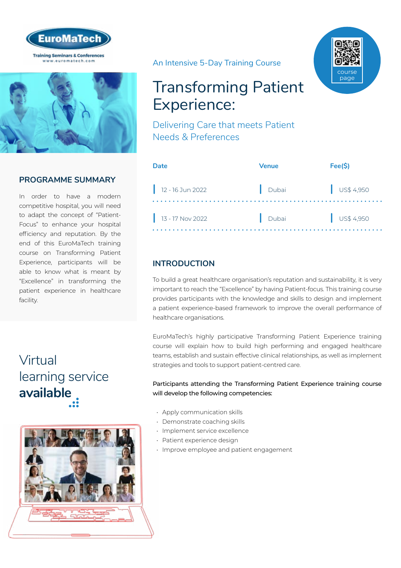



## **PROGRAMME SUMMARY**

In order to have a modern competitive hospital, you will need to adapt the concept of "Patient-Focus" to enhance your hospital efficiency and reputation. By the end of this EuroMaTech training course on Transforming Patient Experience, participants will be able to know what is meant by "Excellence" in transforming the patient experience in healthcare facility.

# Virtual [learning service](https://www.euromatech.com/seminars/transforming-patient-experience-delivering-care-that-meets-patient-needs-preferences/)  **available**



An Intensive 5-Day Training Course

# Transforming Patient Experience:

Delivering Care that meets Patient Needs & Preferences

| <b>Date</b>        | Venue | Fee(S)               |
|--------------------|-------|----------------------|
| 12 - 16 Jun 2022   | Dubai | $\bigcup$ US\$ 4,950 |
| $13 - 17$ Nov 2022 | Dubai | $\bigcup$ US\$ 4,950 |

# **INTRODUCTION**

To build a great healthcare organisation's reputation and sustainability, it is very important to reach the "Excellence" by having Patient-focus. This training course provides participants with the knowledge and skills to design and implement a patient experience-based framework to improve the overall performance of healthcare organisations.

EuroMaTech's highly participative Transforming Patient Experience training course will explain how to build high performing and engaged healthcare teams, establish and sustain effective clinical relationships, as well as implement strategies and tools to support patient-centred care.

#### Participants attending the Transforming Patient Experience training course will develop the following competencies:

- Apply communication skills
- Demonstrate coaching skills
- Implement service excellence
- Patient experience design
- Improve employee and patient engagement

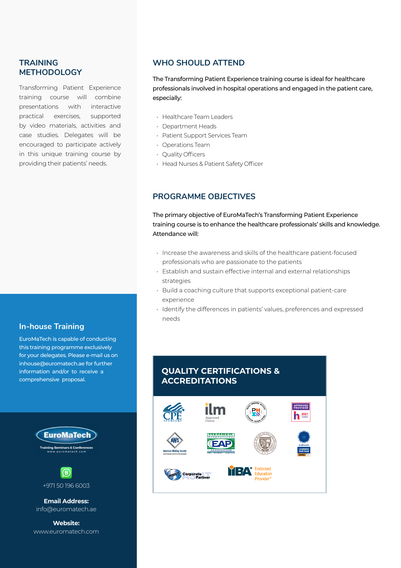## **TRAINING METHODOLOGY**

Transforming Patient Experience training course will combine presentations with interactive practical exercises, supported by video materials, activities and case studies. Delegates will be encouraged to participate actively in this unique training course by providing their patients' needs.

#### **In-house Training**

EuroMaTech is capable of conducting this training programme exclusively for your delegates. Please e-mail us on inhouse@euromatech.ae for further information and/or to receive a comprehensive proposal.





**Email Address:** info@euromatech.ae

**Website:** www.euromatech.com

### **WHO SHOULD ATTEND**

The Transforming Patient Experience training course is ideal for healthcare professionals involved in hospital operations and engaged in the patient care, especially:

- Healthcare Team Leaders
- Department Heads
- Patient Support Services Team
- Operations Team
- Quality Officers
- Head Nurses & Patient Safety Officer

### **PROGRAMME OBJECTIVES**

The primary objective of EuroMaTech's Transforming Patient Experience training course is to enhance the healthcare professionals' skills and knowledge. Attendance will:

- Increase the awareness and skills of the healthcare patient-focused professionals who are passionate to the patients
- Establish and sustain effective internal and external relationships strategies
- Build a coaching culture that supports exceptional patient-care experience
- Identify the differences in patients' values, preferences and expressed needs

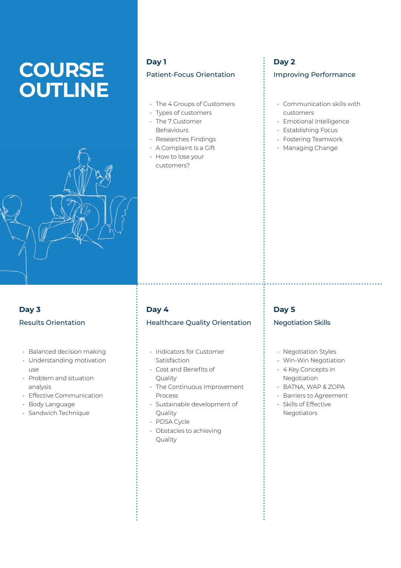# **COURSE OUTLINE**



# **Day 1** Patient-Focus Orientation

- The 4 Groups of Customers
- Types of customers
- The 7 Customer **Behaviours**
- Researches Findings
- A Complaint Is a Gift
- How to lose your customers?

# **Day 2**

#### Improving Performance

- Communication skills with customers
- Emotional Intelligence
- Establishing Focus
- Fostering Teamwork
- Managing Change

# **Day 3** Results Orientation

- Balanced decision making
- Understanding motivation use
- Problem and situation analysis
- Effective Communication
- Body Language
- Sandwich Technique

# **Day 4**

#### Healthcare Quality Orientation

- Indicators for Customer Satisfaction
- Cost and Benefits of Quality
- The Continuous Improvement Process
- Sustainable development of Quality
- PDSA Cycle
- Obstacles to achieving Quality

## **Day 5**

#### Negotiation Skills

- Negotiation Styles
- Win-Win Negotiation
- 4 Key Concepts in Negotiation
- BATNA, WAP & ZOPA
- Barriers to Agreement
- Skills of Effective Negotiators